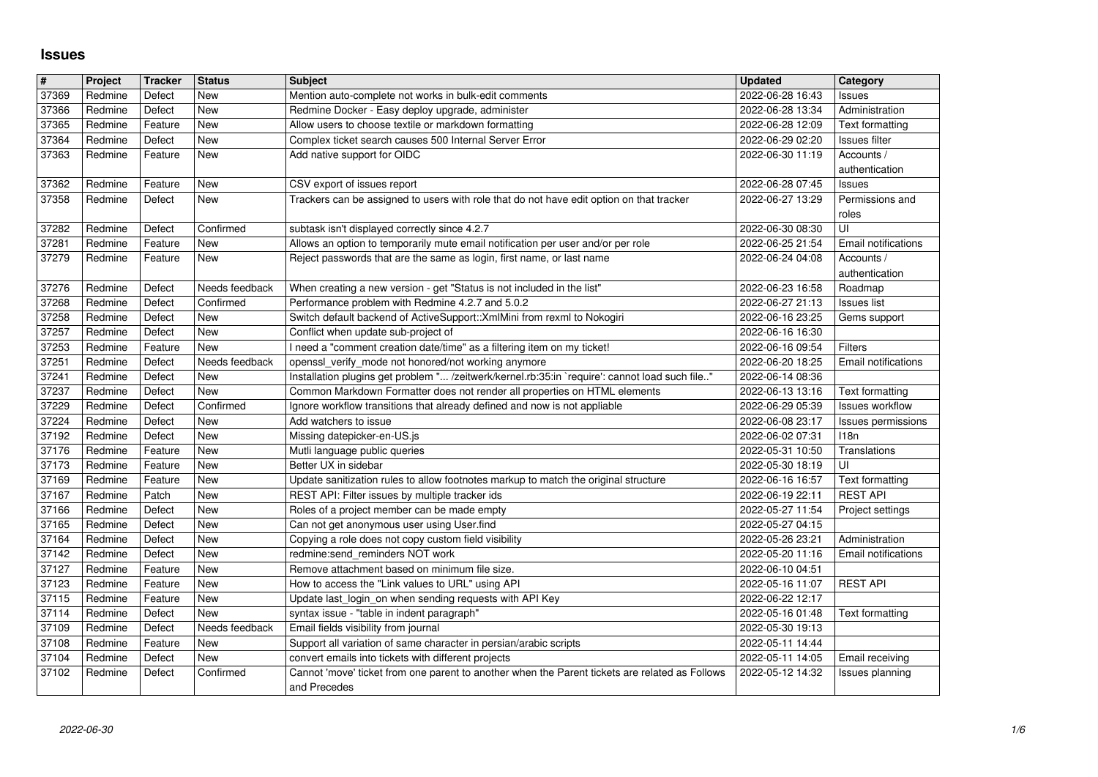## **Issues**

| $\overline{\mathbf{H}}$ | Project            | <b>Tracker</b>   | <b>Status</b>               | <b>Subject</b>                                                                                                             | <b>Updated</b>                       | Category                      |
|-------------------------|--------------------|------------------|-----------------------------|----------------------------------------------------------------------------------------------------------------------------|--------------------------------------|-------------------------------|
| 37369                   | Redmine            | Defect           | New                         | Mention auto-complete not works in bulk-edit comments                                                                      | 2022-06-28 16:43                     | Issues                        |
| 37366                   | Redmine            | Defect           | New                         | Redmine Docker - Easy deploy upgrade, administer                                                                           | 2022-06-28 13:34                     | Administration                |
| 37365                   | Redmine            | Feature          | New                         | Allow users to choose textile or markdown formatting                                                                       | 2022-06-28 12:09                     | Text formatting               |
| 37364                   | Redmine            | Defect           | New                         | Complex ticket search causes 500 Internal Server Error                                                                     | 2022-06-29 02:20                     | Issues filter                 |
| 37363                   | Redmine            | Feature          | New                         | Add native support for OIDC                                                                                                | 2022-06-30 11:19                     | Accounts /                    |
|                         |                    |                  |                             |                                                                                                                            |                                      | authentication                |
| 37362                   | Redmine            | Feature          | New                         | CSV export of issues report                                                                                                | 2022-06-28 07:45                     | <b>Issues</b>                 |
| 37358                   | Redmine            | Defect           | New                         | Trackers can be assigned to users with role that do not have edit option on that tracker                                   | 2022-06-27 13:29                     | Permissions and               |
|                         |                    |                  |                             |                                                                                                                            |                                      | roles                         |
| 37282                   | Redmine            | Defect           | Confirmed                   | subtask isn't displayed correctly since 4.2.7                                                                              | 2022-06-30 08:30                     | UI                            |
| 37281                   | Redmine            | Feature          | New                         | Allows an option to temporarily mute email notification per user and/or per role                                           | 2022-06-25 21:54                     | Email notifications           |
| 37279                   | Redmine            | Feature          | New                         | Reject passwords that are the same as login, first name, or last name                                                      | 2022-06-24 04:08                     | Accounts /                    |
|                         |                    |                  |                             |                                                                                                                            |                                      | authentication                |
| 37276<br>37268          | Redmine<br>Redmine | Defect<br>Defect | Needs feedback<br>Confirmed | When creating a new version - get "Status is not included in the list"<br>Performance problem with Redmine 4.2.7 and 5.0.2 | 2022-06-23 16:58<br>2022-06-27 21:13 | Roadmap<br><b>Issues list</b> |
| 37258                   | Redmine            | Defect           | New                         | Switch default backend of ActiveSupport:: XmlMini from rexml to Nokogiri                                                   | 2022-06-16 23:25                     | Gems support                  |
| 37257                   | Redmine            | Defect           | New                         | Conflict when update sub-project of                                                                                        | 2022-06-16 16:30                     |                               |
| 37253                   | Redmine            | Feature          | New                         | I need a "comment creation date/time" as a filtering item on my ticket!                                                    | 2022-06-16 09:54                     | <b>Filters</b>                |
| 37251                   | Redmine            | Defect           | Needs feedback              | openssl_verify_mode not honored/not working anymore                                                                        | 2022-06-20 18:25                     | Email notifications           |
| 37241                   | Redmine            | Defect           | New                         | Installation plugins get problem " /zeitwerk/kernel.rb:35:in `require': cannot load such file"                             | 2022-06-14 08:36                     |                               |
| 37237                   | Redmine            | Defect           | New                         | Common Markdown Formatter does not render all properties on HTML elements                                                  | 2022-06-13 13:16                     | Text formatting               |
| 37229                   | Redmine            | Defect           | Confirmed                   | Ignore workflow transitions that already defined and now is not appliable                                                  | 2022-06-29 05:39                     | <b>Issues workflow</b>        |
| 37224                   | Redmine            | Defect           | New                         | Add watchers to issue                                                                                                      | 2022-06-08 23:17                     | Issues permissions            |
| 37192                   | Redmine            | Defect           | New                         | Missing datepicker-en-US.js                                                                                                | 2022-06-02 07:31                     | 118n                          |
| 37176                   | Redmine            | Feature          | New                         | Mutli language public queries                                                                                              | 2022-05-31 10:50                     | Translations                  |
| 37173                   | Redmine            | Feature          | New                         | Better UX in sidebar                                                                                                       | 2022-05-30 18:19                     | UI                            |
| 37169                   | Redmine            | Feature          | New                         | Update sanitization rules to allow footnotes markup to match the original structure                                        | 2022-06-16 16:57                     | <b>Text formatting</b>        |
| 37167                   | Redmine            | Patch            | New                         | REST API: Filter issues by multiple tracker ids                                                                            | 2022-06-19 22:11                     | <b>REST API</b>               |
| 37166                   | Redmine            | Defect           | New                         | Roles of a project member can be made empty                                                                                | 2022-05-27 11:54                     | Project settings              |
| 37165                   | Redmine            | Defect           | New                         | Can not get anonymous user using User.find                                                                                 | 2022-05-27 04:15                     |                               |
| 37164                   | Redmine            | Defect           | New                         | Copying a role does not copy custom field visibility                                                                       | 2022-05-26 23:21                     | Administration                |
| 37142                   | Redmine            | Defect           | New                         | redmine:send_reminders NOT work                                                                                            | 2022-05-20 11:16                     | <b>Email notifications</b>    |
| 37127                   | Redmine            | Feature          | New                         | Remove attachment based on minimum file size.                                                                              | 2022-06-10 04:51                     |                               |
| 37123                   | Redmine            | Feature          | New                         | How to access the "Link values to URL" using API                                                                           | 2022-05-16 11:07                     | <b>REST API</b>               |
| 37115                   | Redmine            | Feature          | New                         | Update last_login_on when sending requests with API Key                                                                    | 2022-06-22 12:17                     |                               |
| 37114                   | Redmine            | Defect           | New                         | syntax issue - "table in indent paragraph"                                                                                 | 2022-05-16 01:48                     | <b>Text formatting</b>        |
| 37109                   | Redmine            | Defect           | Needs feedback              | Email fields visibility from journal                                                                                       | 2022-05-30 19:13                     |                               |
| 37108                   | Redmine            | Feature          | New                         | Support all variation of same character in persian/arabic scripts                                                          | 2022-05-11 14:44                     |                               |
| 37104                   | Redmine            | Defect           | New                         | convert emails into tickets with different projects                                                                        | 2022-05-11 14:05                     | Email receiving               |
| 37102                   | Redmine            | Defect           | Confirmed                   | Cannot 'move' ticket from one parent to another when the Parent tickets are related as Follows<br>and Precedes             | 2022-05-12 14:32                     | Issues planning               |
|                         |                    |                  |                             |                                                                                                                            |                                      |                               |
|                         |                    |                  |                             |                                                                                                                            |                                      |                               |
|                         |                    |                  |                             |                                                                                                                            |                                      |                               |
|                         |                    |                  |                             |                                                                                                                            |                                      |                               |
|                         |                    |                  |                             |                                                                                                                            |                                      |                               |
|                         |                    |                  |                             |                                                                                                                            |                                      |                               |
|                         |                    |                  |                             |                                                                                                                            |                                      |                               |
|                         |                    |                  |                             |                                                                                                                            |                                      |                               |
|                         |                    |                  |                             |                                                                                                                            |                                      |                               |
|                         |                    |                  |                             |                                                                                                                            |                                      |                               |
|                         |                    |                  |                             |                                                                                                                            |                                      |                               |
|                         |                    |                  |                             |                                                                                                                            |                                      |                               |
|                         |                    |                  |                             |                                                                                                                            |                                      |                               |
|                         |                    |                  |                             |                                                                                                                            |                                      |                               |
|                         |                    |                  |                             |                                                                                                                            |                                      |                               |
|                         |                    |                  |                             |                                                                                                                            |                                      |                               |
|                         |                    |                  |                             |                                                                                                                            |                                      |                               |
|                         |                    |                  |                             |                                                                                                                            |                                      |                               |
|                         |                    |                  |                             |                                                                                                                            |                                      |                               |
|                         |                    |                  |                             |                                                                                                                            |                                      |                               |
|                         |                    |                  |                             |                                                                                                                            |                                      |                               |
|                         |                    |                  |                             |                                                                                                                            |                                      |                               |
|                         |                    |                  |                             |                                                                                                                            |                                      |                               |
|                         |                    |                  |                             |                                                                                                                            |                                      |                               |
|                         |                    |                  |                             |                                                                                                                            |                                      |                               |
|                         |                    |                  |                             |                                                                                                                            |                                      |                               |
|                         |                    |                  |                             |                                                                                                                            |                                      |                               |
|                         |                    |                  |                             |                                                                                                                            |                                      |                               |
|                         |                    |                  |                             |                                                                                                                            |                                      |                               |
|                         |                    |                  |                             |                                                                                                                            |                                      |                               |
|                         |                    |                  |                             |                                                                                                                            |                                      |                               |
|                         |                    |                  |                             |                                                                                                                            |                                      |                               |
|                         |                    |                  |                             |                                                                                                                            |                                      |                               |
|                         |                    |                  |                             |                                                                                                                            |                                      |                               |
|                         |                    |                  |                             |                                                                                                                            |                                      |                               |
|                         |                    |                  |                             |                                                                                                                            |                                      |                               |
|                         |                    |                  |                             |                                                                                                                            |                                      |                               |
|                         |                    |                  |                             |                                                                                                                            |                                      |                               |
|                         |                    |                  |                             |                                                                                                                            |                                      |                               |
|                         |                    |                  |                             |                                                                                                                            |                                      |                               |
|                         |                    |                  |                             |                                                                                                                            |                                      |                               |
|                         |                    |                  |                             |                                                                                                                            |                                      |                               |
|                         |                    |                  |                             |                                                                                                                            |                                      |                               |
|                         |                    |                  |                             |                                                                                                                            |                                      |                               |
|                         |                    |                  |                             |                                                                                                                            |                                      |                               |
|                         |                    |                  |                             |                                                                                                                            |                                      |                               |
|                         |                    |                  |                             |                                                                                                                            |                                      |                               |
|                         |                    |                  |                             |                                                                                                                            |                                      |                               |
|                         |                    |                  |                             |                                                                                                                            |                                      |                               |
|                         |                    |                  |                             |                                                                                                                            |                                      |                               |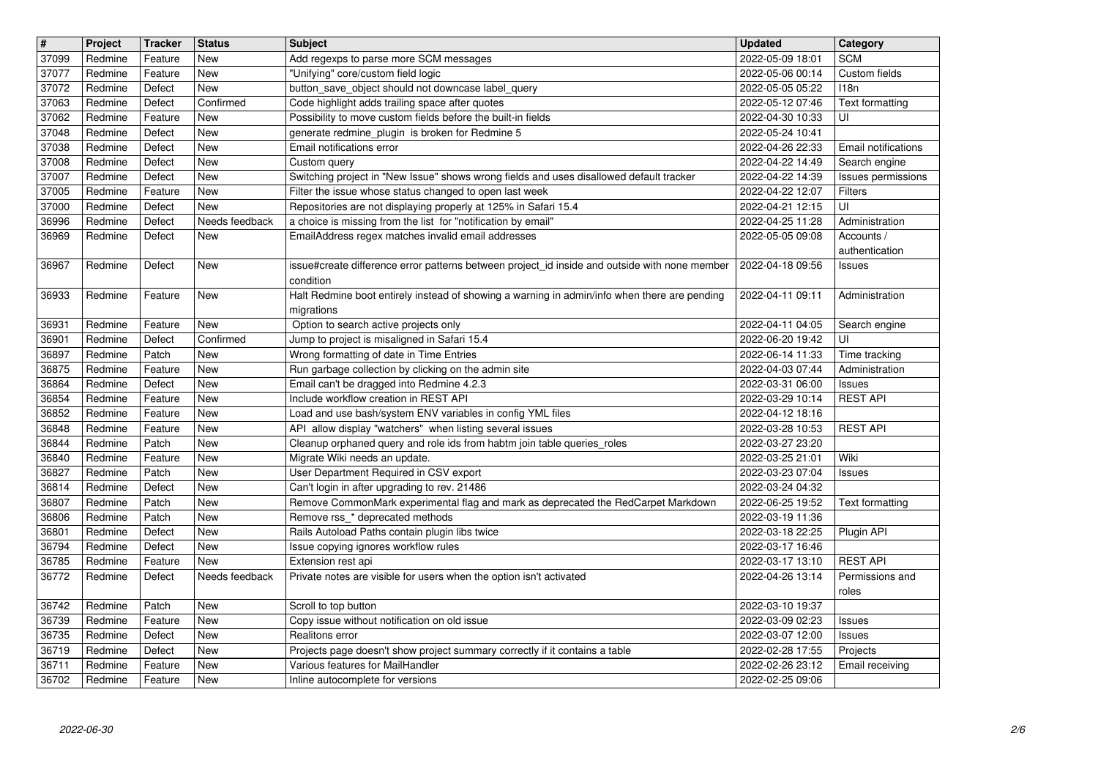| $\overline{\mathbf{t}}$ | Project            | <b>Tracker</b>     | <b>Status</b>     | <b>Subject</b>                                                                                                             | <b>Updated</b>                       | Category                             |
|-------------------------|--------------------|--------------------|-------------------|----------------------------------------------------------------------------------------------------------------------------|--------------------------------------|--------------------------------------|
| 37099<br>37077          | Redmine<br>Redmine | Feature<br>Feature | New<br>New        | Add regexps to parse more SCM messages<br>"Unifying" core/custom field logic                                               | 2022-05-09 18:01<br>2022-05-06 00:14 | <b>SCM</b><br>Custom fields          |
| 37072                   | Redmine            | Defect             | <b>New</b>        | button_save_object should not downcase label_query                                                                         | 2022-05-05 05:22                     | 118n                                 |
| 37063<br>37062          | Redmine<br>Redmine | Defect<br>Feature  | Confirmed<br>New  | Code highlight adds trailing space after quotes<br>Possibility to move custom fields before the built-in fields            | 2022-05-12 07:46<br>2022-04-30 10:33 | <b>Text formatting</b><br>UI         |
| 37048                   | Redmine            | Defect             | New               | generate redmine_plugin is broken for Redmine 5                                                                            | 2022-05-24 10:41                     |                                      |
| 37038<br>37008          | Redmine<br>Redmine | Defect<br>Defect   | <b>New</b><br>New | Email notifications error<br>Custom query                                                                                  | 2022-04-26 22:33<br>2022-04-22 14:49 | Email notifications<br>Search engine |
| 37007                   | Redmine            | Defect             | New               | Switching project in "New Issue" shows wrong fields and uses disallowed default tracker                                    | 2022-04-22 14:39                     | Issues permissions                   |
| 37005<br>37000          | Redmine<br>Redmine | Feature<br>Defect  | New<br><b>New</b> | Filter the issue whose status changed to open last week<br>Repositories are not displaying properly at 125% in Safari 15.4 | 2022-04-22 12:07<br>2022-04-21 12:15 | Filters<br>UI                        |
| 36996                   | Redmine            | Defect             | Needs feedback    | a choice is missing from the list for "notification by email"                                                              | 2022-04-25 11:28                     | Administration                       |
| 36969                   | Redmine            | Defect             | New               | EmailAddress regex matches invalid email addresses                                                                         | 2022-05-05 09:08                     | Accounts /<br>authentication         |
| 36967                   | Redmine            | Defect             | New               | issue#create difference error patterns between project_id inside and outside with none member                              | 2022-04-18 09:56                     | Issues                               |
| 36933                   | Redmine            | Feature            | New               | condition<br>Halt Redmine boot entirely instead of showing a warning in admin/info when there are pending                  | 2022-04-11 09:11                     | Administration                       |
|                         |                    |                    |                   | migrations                                                                                                                 |                                      |                                      |
| 36931<br>36901          | Redmine<br>Redmine | Feature<br>Defect  | New<br>Confirmed  | Option to search active projects only<br>Jump to project is misaligned in Safari 15.4                                      | 2022-04-11 04:05<br>2022-06-20 19:42 | Search engine<br>UI                  |
| 36897                   | Redmine            | Patch              | New               | Wrong formatting of date in Time Entries                                                                                   | 2022-06-14 11:33                     | Time tracking                        |
| 36875<br>36864          | Redmine<br>Redmine | Feature<br>Defect  | New<br><b>New</b> | Run garbage collection by clicking on the admin site<br>Email can't be dragged into Redmine 4.2.3                          | 2022-04-03 07:44<br>2022-03-31 06:00 | Administration<br>Issues             |
| 36854                   | Redmine            | Feature            | <b>New</b>        | Include workflow creation in REST API                                                                                      | 2022-03-29 10:14                     | <b>REST API</b>                      |
| 36852<br>36848          | Redmine<br>Redmine | Feature<br>Feature | New<br>New        | Load and use bash/system ENV variables in config YML files<br>API allow display "watchers" when listing several issues     | 2022-04-12 18:16<br>2022-03-28 10:53 | <b>REST API</b>                      |
| 36844                   | Redmine            | Patch              | New               | Cleanup orphaned query and role ids from habtm join table queries_roles                                                    | 2022-03-27 23:20                     |                                      |
| 36840<br>36827          | Redmine<br>Redmine | Feature<br>Patch   | New<br><b>New</b> | Migrate Wiki needs an update.<br>User Department Required in CSV export                                                    | 2022-03-25 21:01<br>2022-03-23 07:04 | Wiki<br>Issues                       |
| 36814                   | Redmine            | Defect             | New               | Can't login in after upgrading to rev. 21486                                                                               | 2022-03-24 04:32                     |                                      |
| 36807<br>36806          | Redmine<br>Redmine | Patch<br>Patch     | New<br><b>New</b> | Remove CommonMark experimental flag and mark as deprecated the RedCarpet Markdown<br>Remove rss_* deprecated methods       | 2022-06-25 19:52<br>2022-03-19 11:36 | Text formatting                      |
| 36801                   | Redmine            | Defect             | <b>New</b>        | Rails Autoload Paths contain plugin libs twice                                                                             | 2022-03-18 22:25                     | Plugin API                           |
| 36794<br>36785          | Redmine<br>Redmine | Defect<br>Feature  | <b>New</b><br>New | Issue copying ignores workflow rules<br>Extension rest api                                                                 | 2022-03-17 16:46<br>2022-03-17 13:10 | <b>REST API</b>                      |
| 36772                   | Redmine            | Defect             | Needs feedback    | Private notes are visible for users when the option isn't activated                                                        | 2022-04-26 13:14                     | Permissions and                      |
| 36742                   | Redmine            | Patch              | New               | Scroll to top button                                                                                                       | 2022-03-10 19:37                     | roles                                |
| 36739                   | Redmine            | Feature            | <b>New</b>        | Copy issue without notification on old issue                                                                               | 2022-03-09 02:23                     | <b>Issues</b>                        |
| 36735<br>36719          | Redmine<br>Redmine | Defect<br>Defect   | <b>New</b><br>New | Realitons error<br>Projects page doesn't show project summary correctly if it contains a table                             | 2022-03-07 12:00<br>2022-02-28 17:55 | <b>Issues</b><br>Projects            |
| 36711<br>36702          | Redmine<br>Redmine | Feature<br>Feature | New<br>New        | Various features for MailHandler<br>Inline autocomplete for versions                                                       | 2022-02-26 23:12<br>2022-02-25 09:06 | Email receiving                      |
|                         |                    |                    |                   |                                                                                                                            |                                      |                                      |
|                         |                    |                    |                   |                                                                                                                            |                                      |                                      |
|                         |                    |                    |                   |                                                                                                                            |                                      |                                      |
|                         |                    |                    |                   |                                                                                                                            |                                      |                                      |
|                         |                    |                    |                   |                                                                                                                            |                                      |                                      |
|                         |                    |                    |                   |                                                                                                                            |                                      |                                      |
|                         |                    |                    |                   |                                                                                                                            |                                      |                                      |
|                         |                    |                    |                   |                                                                                                                            |                                      |                                      |
|                         |                    |                    |                   |                                                                                                                            |                                      |                                      |
|                         |                    |                    |                   |                                                                                                                            |                                      |                                      |
|                         |                    |                    |                   |                                                                                                                            |                                      |                                      |
|                         |                    |                    |                   |                                                                                                                            |                                      |                                      |
|                         |                    |                    |                   |                                                                                                                            |                                      |                                      |
|                         |                    |                    |                   |                                                                                                                            |                                      |                                      |
|                         |                    |                    |                   |                                                                                                                            |                                      |                                      |
|                         |                    |                    |                   |                                                                                                                            |                                      |                                      |
|                         |                    |                    |                   |                                                                                                                            |                                      |                                      |
|                         |                    |                    |                   |                                                                                                                            |                                      |                                      |
|                         |                    |                    |                   |                                                                                                                            |                                      |                                      |
|                         |                    |                    |                   |                                                                                                                            |                                      |                                      |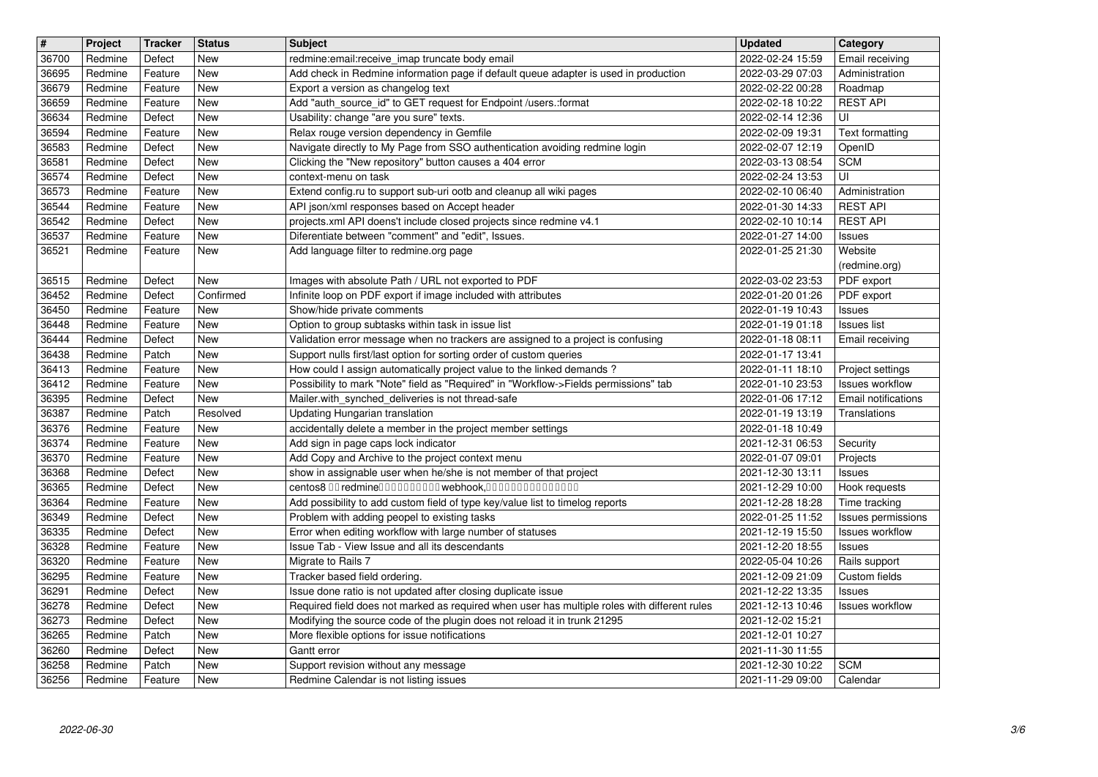| $\overline{\mathbf{H}}$ | Project            | <b>Tracker</b>     | <b>Status</b>            | <b>Subject</b>                                                                                                                               | <b>Updated</b>                       | Category                                   |
|-------------------------|--------------------|--------------------|--------------------------|----------------------------------------------------------------------------------------------------------------------------------------------|--------------------------------------|--------------------------------------------|
| 36700<br>36695          | Redmine<br>Redmine | Defect<br>Feature  | New<br>New               | redmine: email: receive imap truncate body email<br>Add check in Redmine information page if default queue adapter is used in production     | 2022-02-24 15:59<br>2022-03-29 07:03 | Email receiving<br>Administration          |
| 36679                   | Redmine            | Feature            | New                      | Export a version as changelog text                                                                                                           | 2022-02-22 00:28                     | Roadmap<br><b>REST API</b>                 |
| 36659<br>36634          | Redmine<br>Redmine | Feature<br>Defect  | <b>New</b><br><b>New</b> | Add "auth_source_id" to GET request for Endpoint /users.:format<br>Usability: change "are you sure" texts.                                   | 2022-02-18 10:22<br>2022-02-14 12:36 | UI                                         |
| 36594                   | Redmine            | Feature            | <b>New</b>               | Relax rouge version dependency in Gemfile                                                                                                    | 2022-02-09 19:31                     | Text formatting                            |
| 36583<br>36581          | Redmine<br>Redmine | Defect<br>Defect   | New<br><b>New</b>        | Navigate directly to My Page from SSO authentication avoiding redmine login<br>Clicking the "New repository" button causes a 404 error       | 2022-02-07 12:19<br>2022-03-13 08:54 | OpenID<br><b>SCM</b>                       |
| 36574                   | Redmine            | Defect             | New                      | context-menu on task                                                                                                                         | 2022-02-24 13:53                     | UI                                         |
| 36573<br>36544          | Redmine<br>Redmine | Feature<br>Feature | New<br><b>New</b>        | Extend config.ru to support sub-uri ootb and cleanup all wiki pages<br>API json/xml responses based on Accept header                         | 2022-02-10 06:40<br>2022-01-30 14:33 | Administration<br><b>REST API</b>          |
| 36542                   | Redmine            | Defect             | New                      | projects.xml API doens't include closed projects since redmine v4.1                                                                          | 2022-02-10 10:14                     | <b>REST API</b>                            |
| 36537<br>36521          | Redmine<br>Redmine | Feature<br>Feature | <b>New</b><br>New        | Diferentiate between "comment" and "edit", Issues.<br>Add language filter to redmine.org page                                                | 2022-01-27 14:00<br>2022-01-25 21:30 | Issues<br>Website                          |
|                         | Redmine            |                    | New                      | Images with absolute Path / URL not exported to PDF                                                                                          | 2022-03-02 23:53                     | (redmine.org)                              |
| 36515<br>36452          | Redmine            | Defect<br>Defect   | Confirmed                | Infinite loop on PDF export if image included with attributes                                                                                | 2022-01-20 01:26                     | PDF export<br>PDF export                   |
| 36450<br>36448          | Redmine            | Feature            | <b>New</b><br>New        | Show/hide private comments                                                                                                                   | 2022-01-19 10:43<br>2022-01-19 01:18 | Issues<br><b>Issues list</b>               |
| 36444                   | Redmine<br>Redmine | Feature<br>Defect  | New                      | Option to group subtasks within task in issue list<br>Validation error message when no trackers are assigned to a project is confusing       | 2022-01-18 08:11                     | Email receiving                            |
| 36438<br>36413          | Redmine<br>Redmine | Patch<br>Feature   | New<br><b>New</b>        | Support nulls first/last option for sorting order of custom queries<br>How could I assign automatically project value to the linked demands? | 2022-01-17 13:41<br>2022-01-11 18:10 |                                            |
| 36412                   | Redmine            | Feature            | <b>New</b>               | Possibility to mark "Note" field as "Required" in "Workflow->Fields permissions" tab                                                         | 2022-01-10 23:53                     | Project settings<br><b>Issues workflow</b> |
| 36395<br>36387          | Redmine<br>Redmine | Defect<br>Patch    | New<br>Resolved          | Mailer.with_synched_deliveries is not thread-safe<br>Updating Hungarian translation                                                          | 2022-01-06 17:12<br>2022-01-19 13:19 | Email notifications<br>Translations        |
| 36376                   | Redmine            | Feature            | <b>New</b>               | accidentally delete a member in the project member settings                                                                                  | 2022-01-18 10:49                     |                                            |
| 36374<br>36370          | Redmine<br>Redmine | Feature<br>Feature | <b>New</b><br>New        | Add sign in page caps lock indicator<br>Add Copy and Archive to the project context menu                                                     | 2021-12-31 06:53<br>2022-01-07 09:01 | Security<br>Projects                       |
| 36368                   | Redmine            | Defect             | <b>New</b>               | show in assignable user when he/she is not member of that project                                                                            | 2021-12-30 13:11                     | <b>Issues</b>                              |
| 36365<br>36364          | Redmine<br>Redmine | Defect<br>Feature  | New<br><b>New</b>        | centos8 00 redmine0000000000 webhook,000000000000000<br>Add possibility to add custom field of type key/value list to timelog reports        | 2021-12-29 10:00<br>2021-12-28 18:28 | Hook requests<br>Time tracking             |
| 36349                   | Redmine            | Defect             | <b>New</b>               | Problem with adding peopel to existing tasks                                                                                                 | 2022-01-25 11:52                     | Issues permissions                         |
| 36335<br>36328          | Redmine<br>Redmine | Defect<br>Feature  | New<br>New               | Error when editing workflow with large number of statuses<br>Issue Tab - View Issue and all its descendants                                  | 2021-12-19 15:50<br>2021-12-20 18:55 | <b>Issues workflow</b><br>Issues           |
| 36320                   | Redmine            | Feature            | New                      | Migrate to Rails 7                                                                                                                           | 2022-05-04 10:26                     | Rails support                              |
| 36295<br>36291          | Redmine<br>Redmine | Feature<br>Defect  | New<br>New               | Tracker based field ordering.<br>Issue done ratio is not updated after closing duplicate issue                                               | 2021-12-09 21:09<br>2021-12-22 13:35 | Custom fields<br>Issues                    |
| 36278                   | Redmine            | Defect             | New                      | Required field does not marked as required when user has multiple roles with different rules                                                 | 2021-12-13 10:46                     | Issues workflow                            |
| 36273<br>36265          | Redmine<br>Redmine | Defect<br>Patch    | New<br>New               | Modifying the source code of the plugin does not reload it in trunk 21295<br>More flexible options for issue notifications                   | 2021-12-02 15:21<br>2021-12-01 10:27 |                                            |
| 36260                   | Redmine            | Defect             | New                      | Gantt error                                                                                                                                  | 2021-11-30 11:55                     |                                            |
| 36258<br>36256          | Redmine<br>Redmine | Patch<br>Feature   | New<br>New               | Support revision without any message<br>Redmine Calendar is not listing issues                                                               | 2021-12-30 10:22<br>2021-11-29 09:00 | <b>SCM</b><br>Calendar                     |
|                         |                    |                    |                          |                                                                                                                                              |                                      |                                            |
|                         |                    |                    |                          |                                                                                                                                              |                                      |                                            |
|                         |                    |                    |                          |                                                                                                                                              |                                      |                                            |
|                         |                    |                    |                          |                                                                                                                                              |                                      |                                            |
|                         |                    |                    |                          |                                                                                                                                              |                                      |                                            |
|                         |                    |                    |                          |                                                                                                                                              |                                      |                                            |
|                         |                    |                    |                          |                                                                                                                                              |                                      |                                            |
|                         |                    |                    |                          |                                                                                                                                              |                                      |                                            |
|                         |                    |                    |                          |                                                                                                                                              |                                      |                                            |
|                         |                    |                    |                          |                                                                                                                                              |                                      |                                            |
|                         |                    |                    |                          |                                                                                                                                              |                                      |                                            |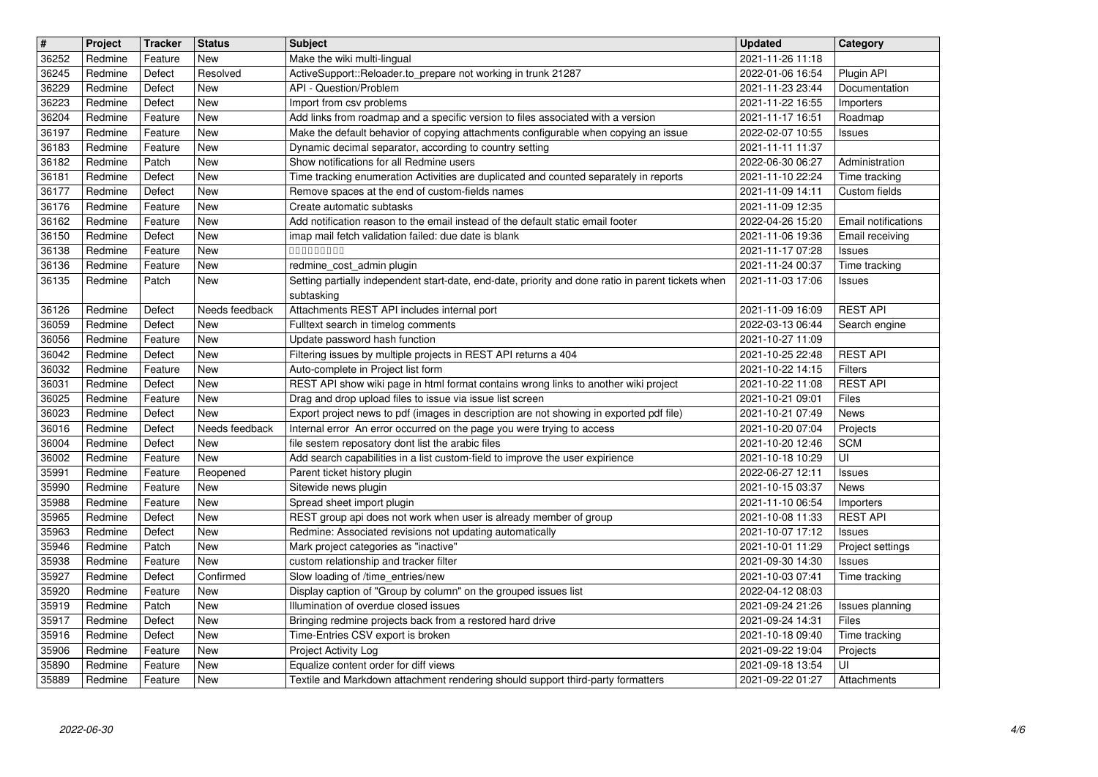| #              | Project            | <b>Tracker</b>     | <b>Status</b>    | <b>Subject</b>                                                                                                                                                          | <b>Updated</b>                       | Category                                      |
|----------------|--------------------|--------------------|------------------|-------------------------------------------------------------------------------------------------------------------------------------------------------------------------|--------------------------------------|-----------------------------------------------|
| 36252<br>36245 | Redmine<br>Redmine | Feature<br>Defect  | New<br>Resolved  | Make the wiki multi-lingual<br>ActiveSupport::Reloader.to_prepare not working in trunk 21287                                                                            | 2021-11-26 11:18<br>2022-01-06 16:54 | Plugin API                                    |
| 36229          | Redmine            | Defect             | New              | API - Question/Problem                                                                                                                                                  | 2021-11-23 23:44                     | Documentation                                 |
| 36223          | Redmine            | Defect             | New              | Import from csv problems                                                                                                                                                | 2021-11-22 16:55                     | Importers                                     |
| 36204<br>36197 | Redmine<br>Redmine | Feature<br>Feature | New<br>New       | Add links from roadmap and a specific version to files associated with a version<br>Make the default behavior of copying attachments configurable when copying an issue | 2021-11-17 16:51<br>2022-02-07 10:55 | Roadmap<br><b>Issues</b>                      |
| 36183          | Redmine            | Feature            | New              | Dynamic decimal separator, according to country setting                                                                                                                 | 2021-11-11 11:37                     |                                               |
| 36182          | Redmine            | Patch              | New              | Show notifications for all Redmine users                                                                                                                                | 2022-06-30 06:27                     | Administration                                |
| 36181<br>36177 | Redmine<br>Redmine | Defect<br>Defect   | New<br>New       | Time tracking enumeration Activities are duplicated and counted separately in reports<br>Remove spaces at the end of custom-fields names                                | 2021-11-10 22:24<br>2021-11-09 14:11 | Time tracking<br>Custom fields                |
| 36176          | Redmine            | Feature            | New              | Create automatic subtasks                                                                                                                                               | 2021-11-09 12:35                     |                                               |
| 36162<br>36150 | Redmine<br>Redmine | Feature<br>Defect  | New<br>New       | Add notification reason to the email instead of the default static email footer<br>imap mail fetch validation failed: due date is blank                                 | 2022-04-26 15:20<br>2021-11-06 19:36 | <b>Email notifications</b><br>Email receiving |
| 36138          | Redmine            | Feature            | New              | 000000000                                                                                                                                                               | 2021-11-17 07:28                     | <b>Issues</b>                                 |
| 36136          | Redmine            | Feature            | New              | redmine_cost_admin plugin                                                                                                                                               | 2021-11-24 00:37                     | Time tracking                                 |
| 36135          | Redmine            | Patch              | New              | Setting partially independent start-date, end-date, priority and done ratio in parent tickets when<br>subtasking                                                        | 2021-11-03 17:06                     | <b>Issues</b>                                 |
| 36126          | Redmine            | Defect             | Needs feedback   | Attachments REST API includes internal port                                                                                                                             | 2021-11-09 16:09                     | <b>REST API</b>                               |
| 36059          | Redmine            | Defect             | New              | Fulltext search in timelog comments                                                                                                                                     | 2022-03-13 06:44                     | Search engine                                 |
| 36056<br>36042 | Redmine<br>Redmine | Feature<br>Defect  | New<br>New       | Update password hash function<br>Filtering issues by multiple projects in REST API returns a 404                                                                        | 2021-10-27 11:09<br>2021-10-25 22:48 | <b>REST API</b>                               |
| 36032          | Redmine            | Feature            | New              | Auto-complete in Project list form                                                                                                                                      | 2021-10-22 14:15                     | Filters                                       |
| 36031          | Redmine            | Defect             | <b>New</b>       | REST API show wiki page in html format contains wrong links to another wiki project                                                                                     | 2021-10-22 11:08                     | <b>REST API</b>                               |
| 36025<br>36023 | Redmine<br>Redmine | Feature<br>Defect  | New<br>New       | Drag and drop upload files to issue via issue list screen<br>Export project news to pdf (images in description are not showing in exported pdf file)                    | 2021-10-21 09:01<br>2021-10-21 07:49 | Files<br>News                                 |
| 36016          | Redmine            | Defect             | Needs feedback   | Internal error An error occurred on the page you were trying to access                                                                                                  | 2021-10-20 07:04                     | Projects                                      |
| 36004          | Redmine            | Defect             | New              | file sestem reposatory dont list the arabic files                                                                                                                       | 2021-10-20 12:46                     | <b>SCM</b>                                    |
| 36002<br>35991 | Redmine<br>Redmine | Feature<br>Feature | New<br>Reopened  | Add search capabilities in a list custom-field to improve the user expirience<br>Parent ticket history plugin                                                           | 2021-10-18 10:29<br>2022-06-27 12:11 | UI<br>Issues                                  |
| 35990          | Redmine            | Feature            | New              | Sitewide news plugin                                                                                                                                                    | 2021-10-15 03:37                     | News                                          |
| 35988          | Redmine            | Feature            | New              | Spread sheet import plugin                                                                                                                                              | 2021-11-10 06:54                     | Importers                                     |
| 35965<br>35963 | Redmine<br>Redmine | Defect<br>Defect   | New<br>New       | REST group api does not work when user is already member of group<br>Redmine: Associated revisions not updating automatically                                           | 2021-10-08 11:33<br>2021-10-07 17:12 | <b>REST API</b><br><b>Issues</b>              |
| 35946          | Redmine            | Patch              | New              | Mark project categories as "inactive"                                                                                                                                   | 2021-10-01 11:29                     | Project settings                              |
| 35938          | Redmine            | Feature            | New              | custom relationship and tracker filter                                                                                                                                  | 2021-09-30 14:30                     | <b>Issues</b>                                 |
| 35927<br>35920 | Redmine<br>Redmine | Defect<br>Feature  | Confirmed<br>New | Slow loading of /time_entries/new<br>Display caption of "Group by column" on the grouped issues list                                                                    | 2021-10-03 07:41<br>2022-04-12 08:03 | Time tracking                                 |
| 35919          | Redmine            | Patch              | New              | Illumination of overdue closed issues                                                                                                                                   | 2021-09-24 21:26                     | Issues planning                               |
| 35917          | Redmine            | Defect             | New              | Bringing redmine projects back from a restored hard drive                                                                                                               | 2021-09-24 14:31                     | Files                                         |
| 35916<br>35906 | Redmine<br>Redmine | Defect<br>Feature  | New<br>New       | Time-Entries CSV export is broken<br>Project Activity Log                                                                                                               | 2021-10-18 09:40<br>2021-09-22 19:04 | Time tracking<br>Projects                     |
| 35890          | Redmine            | Feature            | New              | Equalize content order for diff views                                                                                                                                   | 2021-09-18 13:54                     | UI                                            |
| 35889          | Redmine            | Feature            | New              | Textile and Markdown attachment rendering should support third-party formatters                                                                                         | 2021-09-22 01:27                     | Attachments                                   |
|                |                    |                    |                  |                                                                                                                                                                         |                                      |                                               |
|                |                    |                    |                  |                                                                                                                                                                         |                                      |                                               |
|                |                    |                    |                  |                                                                                                                                                                         |                                      |                                               |
|                |                    |                    |                  |                                                                                                                                                                         |                                      |                                               |
|                |                    |                    |                  |                                                                                                                                                                         |                                      |                                               |
|                |                    |                    |                  |                                                                                                                                                                         |                                      |                                               |
|                |                    |                    |                  |                                                                                                                                                                         |                                      |                                               |
|                |                    |                    |                  |                                                                                                                                                                         |                                      |                                               |
|                |                    |                    |                  |                                                                                                                                                                         |                                      |                                               |
|                |                    |                    |                  |                                                                                                                                                                         |                                      |                                               |
|                |                    |                    |                  |                                                                                                                                                                         |                                      |                                               |
|                |                    |                    |                  |                                                                                                                                                                         |                                      |                                               |
|                |                    |                    |                  |                                                                                                                                                                         |                                      |                                               |
|                |                    |                    |                  |                                                                                                                                                                         |                                      |                                               |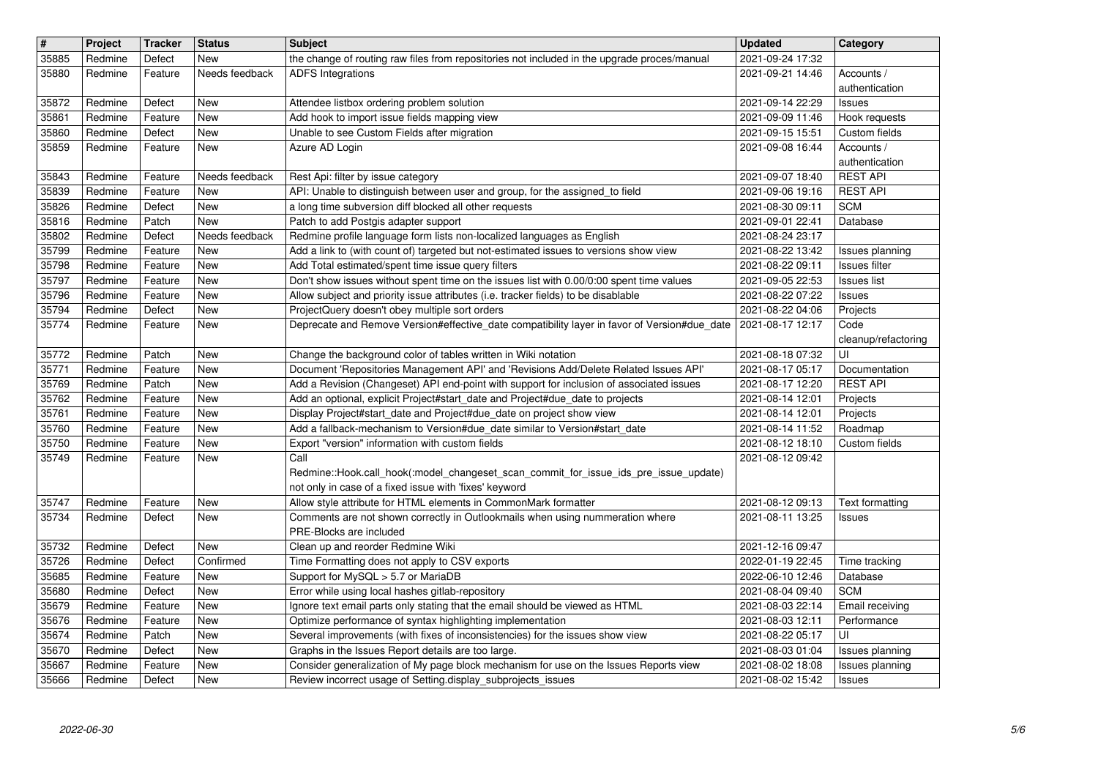| $\sqrt{\frac{4}{15}}$ | Project            | <b>Tracker</b>     | <b>Status</b>     | <b>Subject</b>                                                                                                                                                                 | <b>Updated</b>                       | Category                            |
|-----------------------|--------------------|--------------------|-------------------|--------------------------------------------------------------------------------------------------------------------------------------------------------------------------------|--------------------------------------|-------------------------------------|
| 35885                 | Redmine            | Defect             | New               | the change of routing raw files from repositories not included in the upgrade proces/manual                                                                                    | 2021-09-24 17:32                     |                                     |
| 35880                 | Redmine            | Feature            | Needs feedback    | <b>ADFS</b> Integrations                                                                                                                                                       | 2021-09-21 14:46                     | Accounts /<br>authentication        |
| 35872                 | Redmine            | Defect             | New               | Attendee listbox ordering problem solution                                                                                                                                     | 2021-09-14 22:29                     | Issues                              |
| 35861                 | Redmine            | Feature            | New               | Add hook to import issue fields mapping view                                                                                                                                   | 2021-09-09 11:46                     | Hook requests                       |
| 35860                 | Redmine            | Defect             | New               | Unable to see Custom Fields after migration                                                                                                                                    | 2021-09-15 15:51                     | Custom fields                       |
| 35859                 | Redmine            | Feature            | New               | Azure AD Login                                                                                                                                                                 | 2021-09-08 16:44                     | Accounts /<br>authentication        |
| 35843                 | Redmine            | Feature            | Needs feedback    | Rest Api: filter by issue category                                                                                                                                             | 2021-09-07 18:40                     | <b>REST API</b>                     |
| 35839                 | Redmine            | Feature            | New               | API: Unable to distinguish between user and group, for the assigned_to field                                                                                                   | 2021-09-06 19:16                     | <b>REST API</b>                     |
| 35826<br>35816        | Redmine<br>Redmine | Defect<br>Patch    | New<br><b>New</b> | a long time subversion diff blocked all other requests<br>Patch to add Postgis adapter support                                                                                 | 2021-08-30 09:11<br>2021-09-01 22:41 | <b>SCM</b><br>Database              |
| 35802                 | Redmine            | Defect             | Needs feedback    | Redmine profile language form lists non-localized languages as English                                                                                                         | 2021-08-24 23:17                     |                                     |
| 35799                 | Redmine            | Feature            | New               | Add a link to (with count of) targeted but not-estimated issues to versions show view                                                                                          | 2021-08-22 13:42                     | Issues planning                     |
| 35798                 | Redmine            | Feature            | New               | Add Total estimated/spent time issue query filters                                                                                                                             | 2021-08-22 09:11                     | Issues filter                       |
| 35797<br>35796        | Redmine<br>Redmine | Feature<br>Feature | New<br>New        | Don't show issues without spent time on the issues list with 0.00/0:00 spent time values<br>Allow subject and priority issue attributes (i.e. tracker fields) to be disablable | 2021-09-05 22:53<br>2021-08-22 07:22 | <b>Issues list</b><br><b>Issues</b> |
| 35794                 | Redmine            | Defect             | New               | ProjectQuery doesn't obey multiple sort orders                                                                                                                                 | 2021-08-22 04:06                     | Projects                            |
| 35774                 | Redmine            | Feature            | New               | Deprecate and Remove Version#effective_date compatibility layer in favor of Version#due_date                                                                                   | 2021-08-17 12:17                     | Code                                |
| 35772                 | Redmine            | Patch              | New               | Change the background color of tables written in Wiki notation                                                                                                                 | 2021-08-18 07:32                     | cleanup/refactoring<br>UI           |
| 35771                 | Redmine            | Feature            | New               | Document 'Repositories Management API' and 'Revisions Add/Delete Related Issues API'                                                                                           | 2021-08-17 05:17                     | Documentation                       |
| 35769                 | Redmine            | Patch              | New               | Add a Revision (Changeset) API end-point with support for inclusion of associated issues                                                                                       | 2021-08-17 12:20                     | <b>REST API</b>                     |
| 35762<br>35761        | Redmine<br>Redmine | Feature            | New<br>New        | Add an optional, explicit Project#start_date and Project#due_date to projects                                                                                                  | 2021-08-14 12:01<br>2021-08-14 12:01 | Projects<br>Projects                |
| 35760                 | Redmine            | Feature<br>Feature | New               | Display Project#start_date and Project#due_date on project show view<br>Add a fallback-mechanism to Version#due_date similar to Version#start_date                             | 2021-08-14 11:52                     | Roadmap                             |
| 35750                 | Redmine            | Feature            | New               | Export "version" information with custom fields                                                                                                                                | 2021-08-12 18:10                     | Custom fields                       |
| 35749                 | Redmine            | Feature            | New               | Call                                                                                                                                                                           | 2021-08-12 09:42                     |                                     |
|                       |                    |                    |                   | Redmine::Hook.call_hook(:model_changeset_scan_commit_for_issue_ids_pre_issue_update)<br>not only in case of a fixed issue with 'fixes' keyword                                 |                                      |                                     |
| 35747                 | Redmine            | Feature            | <b>New</b>        | Allow style attribute for HTML elements in CommonMark formatter                                                                                                                | 2021-08-12 09:13                     | Text formatting                     |
| 35734                 | Redmine            | Defect             | New               | Comments are not shown correctly in Outlookmails when using nummeration where                                                                                                  | 2021-08-11 13:25                     | <b>Issues</b>                       |
|                       |                    |                    |                   | PRE-Blocks are included                                                                                                                                                        |                                      |                                     |
| 35732<br>35726        | Redmine<br>Redmine | Defect<br>Defect   | New<br>Confirmed  | Clean up and reorder Redmine Wiki<br>Time Formatting does not apply to CSV exports                                                                                             | 2021-12-16 09:47<br>2022-01-19 22:45 | Time tracking                       |
| 35685                 | Redmine            | Feature            | New               | Support for MySQL > 5.7 or MariaDB                                                                                                                                             | 2022-06-10 12:46                     | Database                            |
| 35680                 | Redmine            | Defect             | New               | Error while using local hashes gitlab-repository                                                                                                                               | 2021-08-04 09:40                     | <b>SCM</b>                          |
| 35679<br>35676        | Redmine<br>Redmine | Feature<br>Feature | New<br>New        | Ignore text email parts only stating that the email should be viewed as HTML<br>Optimize performance of syntax highlighting implementation                                     | 2021-08-03 22:14<br>2021-08-03 12:11 | Email receiving<br>Performance      |
| 35674                 | Redmine            | Patch              | New               | Several improvements (with fixes of inconsistencies) for the issues show view                                                                                                  | 2021-08-22 05:17                     | UI                                  |
| 35670                 | Redmine            | Defect             | New               | Graphs in the Issues Report details are too large.                                                                                                                             | 2021-08-03 01:04                     | Issues planning                     |
| 35667<br>35666        | Redmine<br>Redmine | Feature<br>Defect  | New<br>New        | Consider generalization of My page block mechanism for use on the Issues Reports view<br>Review incorrect usage of Setting display_subprojects_issues                          | 2021-08-02 18:08<br>2021-08-02 15:42 | Issues planning<br><b>Issues</b>    |
|                       |                    |                    |                   |                                                                                                                                                                                |                                      |                                     |
|                       |                    |                    |                   |                                                                                                                                                                                |                                      |                                     |
|                       |                    |                    |                   |                                                                                                                                                                                |                                      |                                     |
|                       |                    |                    |                   |                                                                                                                                                                                |                                      |                                     |
|                       |                    |                    |                   |                                                                                                                                                                                |                                      |                                     |
|                       |                    |                    |                   |                                                                                                                                                                                |                                      |                                     |
|                       |                    |                    |                   |                                                                                                                                                                                |                                      |                                     |
|                       |                    |                    |                   |                                                                                                                                                                                |                                      |                                     |
|                       |                    |                    |                   |                                                                                                                                                                                |                                      |                                     |
|                       |                    |                    |                   |                                                                                                                                                                                |                                      |                                     |
|                       |                    |                    |                   |                                                                                                                                                                                |                                      |                                     |
|                       |                    |                    |                   |                                                                                                                                                                                |                                      |                                     |
|                       |                    |                    |                   |                                                                                                                                                                                |                                      |                                     |
|                       |                    |                    |                   |                                                                                                                                                                                |                                      |                                     |
|                       |                    |                    |                   |                                                                                                                                                                                |                                      |                                     |
|                       |                    |                    |                   |                                                                                                                                                                                |                                      |                                     |
|                       |                    |                    |                   |                                                                                                                                                                                |                                      |                                     |
|                       |                    |                    |                   |                                                                                                                                                                                |                                      |                                     |
|                       |                    |                    |                   |                                                                                                                                                                                |                                      |                                     |
|                       |                    |                    |                   |                                                                                                                                                                                |                                      |                                     |
|                       |                    |                    |                   |                                                                                                                                                                                |                                      |                                     |